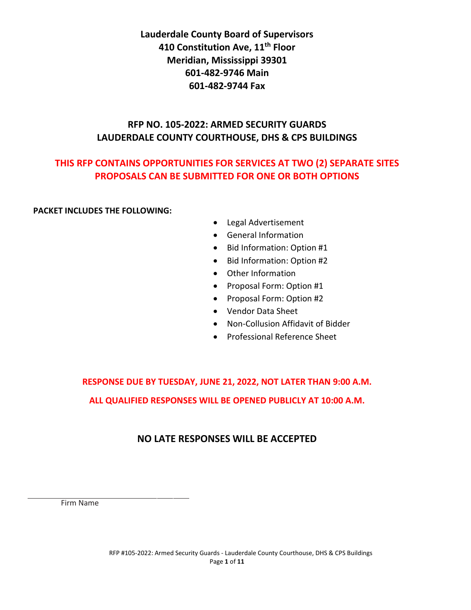**Lauderdale County Board of Supervisors 410 Constitution Ave, 11th Floor Meridian, Mississippi 39301 601-482-9746 Main 601-482-9744 Fax**

# **RFP NO. 105-2022: ARMED SECURITY GUARDS LAUDERDALE COUNTY COURTHOUSE, DHS & CPS BUILDINGS**

# **THIS RFP CONTAINS OPPORTUNITIES FOR SERVICES AT TWO (2) SEPARATE SITES PROPOSALS CAN BE SUBMITTED FOR ONE OR BOTH OPTIONS**

### **PACKET INCLUDES THE FOLLOWING:**

- Legal Advertisement
- General Information
- Bid Information: Option #1
- Bid Information: Option #2
- Other Information
- Proposal Form: Option #1
- Proposal Form: Option #2
- Vendor Data Sheet
- Non-Collusion Affidavit of Bidder
- Professional Reference Sheet

**RESPONSE DUE BY TUESDAY, JUNE 21, 2022, NOT LATER THAN 9:00 A.M. ALL QUALIFIED RESPONSES WILL BE OPENED PUBLICLY AT 10:00 A.M.** 

# **NO LATE RESPONSES WILL BE ACCEPTED**

Firm Name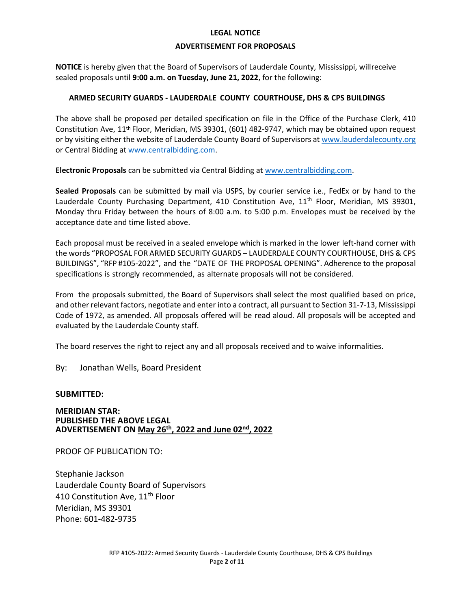#### **LEGAL NOTICE**

#### **ADVERTISEMENT FOR PROPOSALS**

**NOTICE** is hereby given that the Board of Supervisors of Lauderdale County, Mississippi, willreceive sealed proposals until **9:00 a.m. on Tuesday, June 21, 2022**, for the following:

#### **ARMED SECURITY GUARDS - LAUDERDALE COUNTY COURTHOUSE, DHS & CPS BUILDINGS**

The above shall be proposed per detailed specification on file in the Office of the Purchase Clerk, 410 Constitution Ave, 11th Floor, Meridian, MS 39301, (601) 482-9747, which may be obtained upon request or by visiting either the website of Lauderdale County Board of Supervisors at [www.lauderdalecounty.org](file:///C:/Users/sjackson/Documents/2018.2019%20Term%20Bids/www.lauderdalecounty.org) or Central Bidding a[t www.centralbidding.com.](http://www.centralbidding.com/)

**Electronic Proposals** can be submitted via Central Bidding a[t www.centralbidding.com.](http://www.centralbidding.com/)

**Sealed Proposals** can be submitted by mail via USPS, by courier service i.e., FedEx or by hand to the Lauderdale County Purchasing Department, 410 Constitution Ave, 11<sup>th</sup> Floor, Meridian, MS 39301, Monday thru Friday between the hours of 8:00 a.m. to 5:00 p.m. Envelopes must be received by the acceptance date and time listed above.

Each proposal must be received in a sealed envelope which is marked in the lower left-hand corner with the words "PROPOSAL FOR ARMED SECURITY GUARDS – LAUDERDALE COUNTY COURTHOUSE, DHS & CPS BUILDINGS", "RFP #105-2022", and the "DATE OF THE PROPOSAL OPENING". Adherence to the proposal specifications is strongly recommended, as alternate proposals will not be considered.

From the proposals submitted, the Board of Supervisors shall select the most qualified based on price, and other relevant factors, negotiate and enter into a contract, all pursuant to Section 31-7-13, Mississippi Code of 1972, as amended. All proposals offered will be read aloud. All proposals will be accepted and evaluated by the Lauderdale County staff.

The board reserves the right to reject any and all proposals received and to waive informalities.

By: Jonathan Wells, Board President

#### **SUBMITTED:**

**MERIDIAN STAR: PUBLISHED THE ABOVE LEGAL ADVERTISEMENT ON May 26 th, 2022 and June 02nd, 2022**

PROOF OF PUBLICATION TO:

Stephanie Jackson Lauderdale County Board of Supervisors 410 Constitution Ave, 11<sup>th</sup> Floor Meridian, MS 39301 Phone: 601-482-9735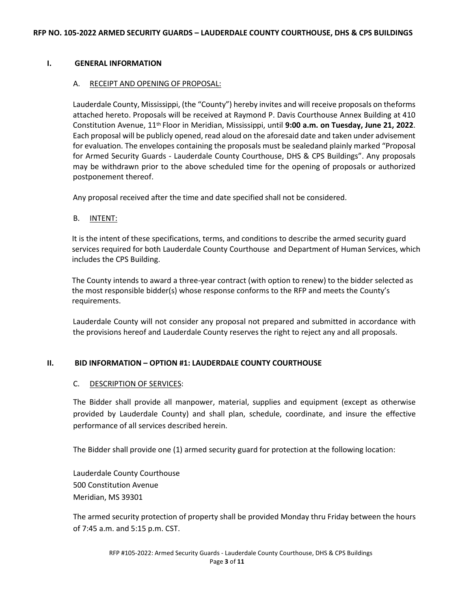#### **I. GENERAL INFORMATION**

#### A. RECEIPT AND OPENING OF PROPOSAL:

Lauderdale County, Mississippi, (the "County") hereby invites and will receive proposals on theforms attached hereto. Proposals will be received at Raymond P. Davis Courthouse Annex Building at 410 Constitution Avenue, 11th Floor in Meridian, Mississippi, until **9:00 a.m. on Tuesday, June 21, 2022**. Each proposal will be publicly opened, read aloud on the aforesaid date and taken under advisement for evaluation. The envelopes containing the proposals must be sealedand plainly marked "Proposal for Armed Security Guards - Lauderdale County Courthouse, DHS & CPS Buildings". Any proposals may be withdrawn prior to the above scheduled time for the opening of proposals or authorized postponement thereof.

Any proposal received after the time and date specified shall not be considered.

#### B. INTENT:

It is the intent of these specifications, terms, and conditions to describe the armed security guard services required for both Lauderdale County Courthouse and Department of Human Services, which includes the CPS Building.

The County intends to award a three-year contract (with option to renew) to the bidder selected as the most responsible bidder(s) whose response conforms to the RFP and meets the County's requirements.

Lauderdale County will not consider any proposal not prepared and submitted in accordance with the provisions hereof and Lauderdale County reserves the right to reject any and all proposals.

#### **II. BID INFORMATION – OPTION #1: LAUDERDALE COUNTY COURTHOUSE**

#### C. DESCRIPTION OF SERVICES:

The Bidder shall provide all manpower, material, supplies and equipment (except as otherwise provided by Lauderdale County) and shall plan, schedule, coordinate, and insure the effective performance of all services described herein.

The Bidder shall provide one (1) armed security guard for protection at the following location:

Lauderdale County Courthouse 500 Constitution Avenue Meridian, MS 39301

The armed security protection of property shall be provided Monday thru Friday between the hours of 7:45 a.m. and 5:15 p.m. CST.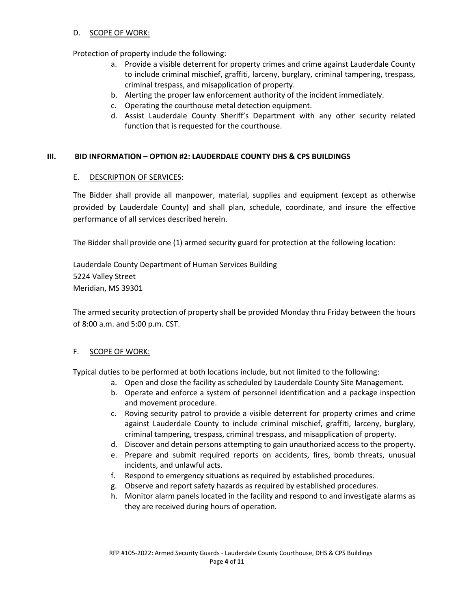#### D. SCOPE OF WORK:

Protection of property include the following:

- a. Provide a visible deterrent for property crimes and crime against Lauderdale County to include criminal mischief, graffiti, larceny, burglary, criminal tampering, trespass, criminal trespass, and misapplication of property.
- b. Alerting the proper law enforcement authority of the incident immediately.
- c. Operating the courthouse metal detection equipment.
- d. Assist Lauderdale County Sheriff's Department with any other security related function that is requested for the courthouse.

#### **III. BID INFORMATION – OPTION #2: LAUDERDALE COUNTY DHS & CPS BUILDINGS**

#### E. DESCRIPTION OF SERVICES:

The Bidder shall provide all manpower, material, supplies and equipment (except as otherwise provided by Lauderdale County) and shall plan, schedule, coordinate, and insure the effective performance of all services described herein.

The Bidder shall provide one (1) armed security guard for protection at the following location:

Lauderdale County Department of Human Services Building 5224 Valley Street Meridian, MS 39301

The armed security protection of property shall be provided Monday thru Friday between the hours of 8:00 a.m. and 5:00 p.m. CST.

#### F. SCOPE OF WORK:

Typical duties to be performed at both locations include, but not limited to the following:

- a. Open and close the facility as scheduled by Lauderdale County Site Management.
- b. Operate and enforce a system of personnel identification and a package inspection and movement procedure.
- c. Roving security patrol to provide a visible deterrent for property crimes and crime against Lauderdale County to include criminal mischief, graffiti, larceny, burglary, criminal tampering, trespass, criminal trespass, and misapplication of property.
- d. Discover and detain persons attempting to gain unauthorized access to the property.
- e. Prepare and submit required reports on accidents, fires, bomb threats, unusual incidents, and unlawful acts.
- f. Respond to emergency situations as required by established procedures.
- g. Observe and report safety hazards as required by established procedures.
- h. Monitor alarm panels located in the facility and respond to and investigate alarms as they are received during hours of operation.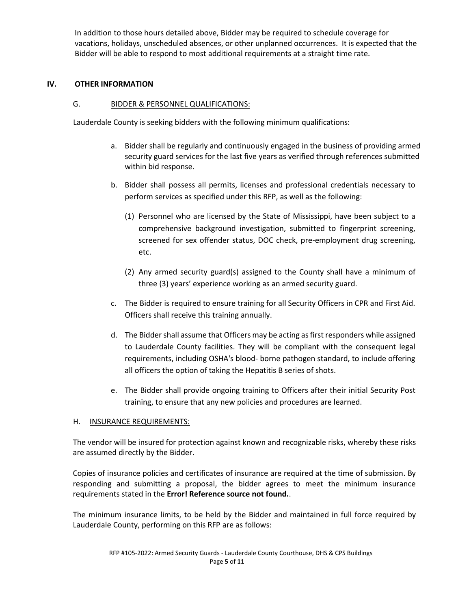In addition to those hours detailed above, Bidder may be required to schedule coverage for vacations, holidays, unscheduled absences, or other unplanned occurrences. It is expected that the Bidder will be able to respond to most additional requirements at a straight time rate.

#### **IV. OTHER INFORMATION**

#### G. BIDDER & PERSONNEL QUALIFICATIONS:

Lauderdale County is seeking bidders with the following minimum qualifications:

- a. Bidder shall be regularly and continuously engaged in the business of providing armed security guard services for the last five years as verified through references submitted within bid response.
- b. Bidder shall possess all permits, licenses and professional credentials necessary to perform services as specified under this RFP, as well as the following:
	- (1) Personnel who are licensed by the State of Mississippi, have been subject to a comprehensive background investigation, submitted to fingerprint screening, screened for sex offender status, DOC check, pre-employment drug screening, etc.
	- (2) Any armed security guard(s) assigned to the County shall have a minimum of three (3) years' experience working as an armed security guard.
- c. The Bidder is required to ensure training for all Security Officers in CPR and First Aid. Officers shall receive this training annually.
- d. The Bidder shall assume that Officers may be acting as first responders while assigned to Lauderdale County facilities. They will be compliant with the consequent legal requirements, including OSHA's blood- borne pathogen standard, to include offering all officers the option of taking the Hepatitis B series of shots.
- e. The Bidder shall provide ongoing training to Officers after their initial Security Post training, to ensure that any new policies and procedures are learned.

#### H. **INSURANCE REQUIREMENTS:**

The vendor will be insured for protection against known and recognizable risks, whereby these risks are assumed directly by the Bidder.

Copies of insurance policies and certificates of insurance are required at the time of submission. By responding and submitting a proposal, the bidder agrees to meet the minimum insurance requirements stated in the **Error! Reference source not found.**.

The minimum insurance limits, to be held by the Bidder and maintained in full force required by Lauderdale County, performing on this RFP are as follows: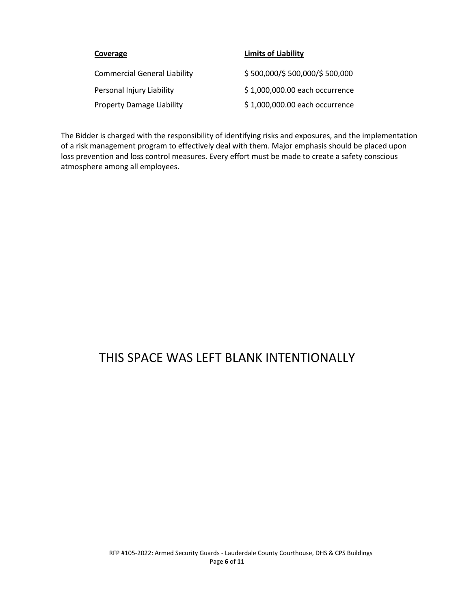| Coverage                            | <b>Limits of Liability</b>     |
|-------------------------------------|--------------------------------|
| <b>Commercial General Liability</b> | \$500,000/\$500,000/\$500,000  |
| Personal Injury Liability           | \$1,000,000.00 each occurrence |
| <b>Property Damage Liability</b>    | \$1,000,000.00 each occurrence |

The Bidder is charged with the responsibility of identifying risks and exposures, and the implementation of a risk management program to effectively deal with them. Major emphasis should be placed upon loss prevention and loss control measures. Every effort must be made to create a safety conscious atmosphere among all employees.

# THIS SPACE WAS LEFT BLANK INTENTIONALLY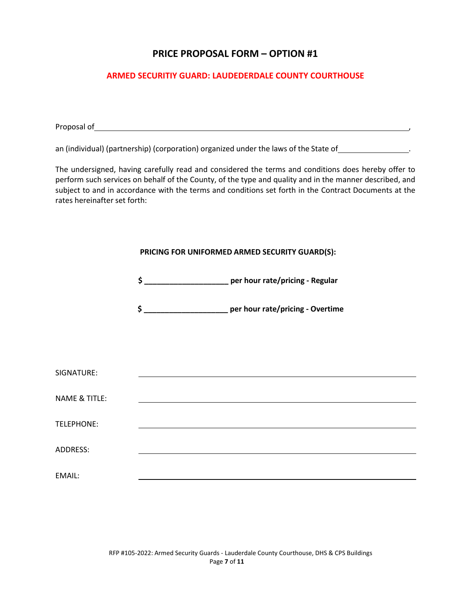# **PRICE PROPOSAL FORM – OPTION #1**

### **ARMED SECURITIY GUARD: LAUDEDERDALE COUNTY COURTHOUSE**

Proposal of ,

an (individual) (partnership) (corporation) organized under the laws of the State of *numeral* 

The undersigned, having carefully read and considered the terms and conditions does hereby offer to perform such services on behalf of the County, of the type and quality and in the manner described, and subject to and in accordance with the terms and conditions set forth in the Contract Documents at the rates hereinafter set forth:

#### **PRICING FOR UNIFORMED ARMED SECURITY GUARD(S):**

**\$ \_\_\_\_\_\_\_\_\_\_\_\_\_\_\_\_\_\_\_\_ per hour rate/pricing - Regular**

**\$ \_\_\_\_\_\_\_\_\_\_\_\_\_\_\_\_\_\_\_\_ per hour rate/pricing - Overtime**

| SIGNATURE:               |  |  |
|--------------------------|--|--|
|                          |  |  |
| <b>NAME &amp; TITLE:</b> |  |  |
| TELEPHONE:               |  |  |
|                          |  |  |
| <b>ADDRESS:</b>          |  |  |
| EMAIL:                   |  |  |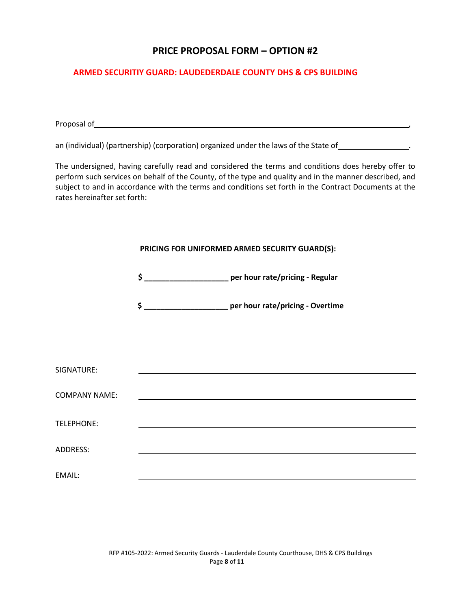# **PRICE PROPOSAL FORM – OPTION #2**

### **ARMED SECURITIY GUARD: LAUDEDERDALE COUNTY DHS & CPS BUILDING**

Proposal of ,

an (individual) (partnership) (corporation) organized under the laws of the State of *numerous* 

The undersigned, having carefully read and considered the terms and conditions does hereby offer to perform such services on behalf of the County, of the type and quality and in the manner described, and subject to and in accordance with the terms and conditions set forth in the Contract Documents at the rates hereinafter set forth:

| PRICING FOR UNIFORMED ARMED SECURITY GUARD(S): |                                                                                                                      |
|------------------------------------------------|----------------------------------------------------------------------------------------------------------------------|
|                                                | \$ __________________________ per hour rate/pricing - Regular                                                        |
|                                                | \$ _______________________ per hour rate/pricing - Overtime                                                          |
|                                                |                                                                                                                      |
|                                                | <u> 1989 - Johann John Stein, markin fan it ferskearre fan it ferskearre fan it ferskearre fan it ferskearre fan</u> |
|                                                |                                                                                                                      |
|                                                |                                                                                                                      |
|                                                |                                                                                                                      |
|                                                |                                                                                                                      |
|                                                |                                                                                                                      |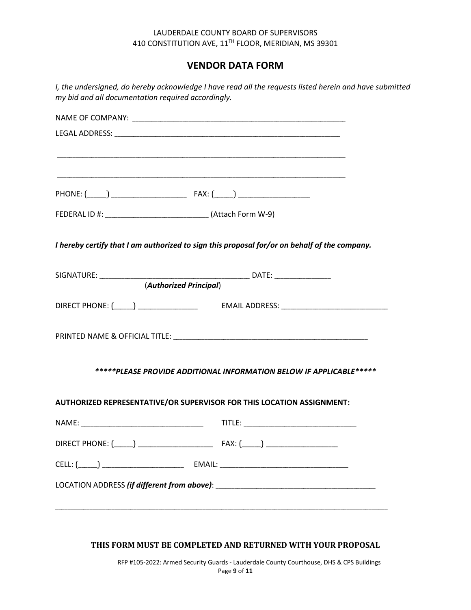#### LAUDERDALE COUNTY BOARD OF SUPERVISORS 410 CONSTITUTION AVE, 11TH FLOOR, MERIDIAN, MS 39301

# **VENDOR DATA FORM**

| I hereby certify that I am authorized to sign this proposal for/or on behalf of the company. |
|----------------------------------------------------------------------------------------------|
| (Authorized Principal)                                                                       |
|                                                                                              |
|                                                                                              |
| *****PLEASE PROVIDE ADDITIONAL INFORMATION BELOW IF APPLICABLE*****                          |
| AUTHORIZED REPRESENTATIVE/OR SUPERVISOR FOR THIS LOCATION ASSIGNMENT:                        |
|                                                                                              |
|                                                                                              |
|                                                                                              |
|                                                                                              |

#### **THIS FORM MUST BE COMPLETED AND RETURNED WITH YOUR PROPOSAL**

RFP #105-2022: Armed Security Guards - Lauderdale County Courthouse, DHS & CPS Buildings Page **9** of **11**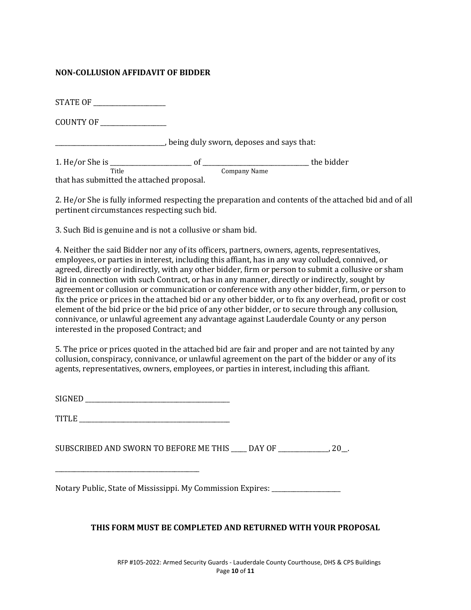### **NON-COLLUSION AFFIDAVIT OF BIDDER**

STATE OF

COUNTY OF \_\_\_\_\_\_\_\_\_\_\_\_\_\_\_\_\_\_\_\_\_

\_\_\_\_\_\_\_\_\_\_\_\_\_\_\_\_\_\_\_\_\_\_\_\_\_\_\_\_\_\_\_\_\_\_\_, being duly sworn, deposes and says that:

1. He/or She is \_\_\_\_\_\_\_\_\_\_\_\_\_\_\_\_\_\_\_\_\_\_\_\_\_\_ of \_\_\_\_\_\_\_\_\_\_\_\_\_\_\_\_\_\_\_\_\_\_\_\_\_\_\_\_\_\_\_\_\_\_ the bidder Title Company Name

that has submitted the attached proposal.

2. He/or She is fully informed respecting the preparation and contents of the attached bid and of all pertinent circumstances respecting such bid.

3. Such Bid is genuine and is not a collusive or sham bid.

4. Neither the said Bidder nor any of its officers, partners, owners, agents, representatives, employees, or parties in interest, including this affiant, has in any way colluded, connived, or agreed, directly or indirectly, with any other bidder, firm or person to submit a collusive or sham Bid in connection with such Contract, or has in any manner, directly or indirectly, sought by agreement or collusion or communication or conference with any other bidder, firm, or person to fix the price or prices in the attached bid or any other bidder, or to fix any overhead, profit or cost element of the bid price or the bid price of any other bidder, or to secure through any collusion, connivance, or unlawful agreement any advantage against Lauderdale County or any person interested in the proposed Contract; and

5. The price or prices quoted in the attached bid are fair and proper and are not tainted by any collusion, conspiracy, connivance, or unlawful agreement on the part of the bidder or any of its agents, representatives, owners, employees, or parties in interest, including this affiant.

SIGNED \_\_\_\_\_\_\_\_\_\_\_\_\_\_\_\_\_\_\_\_\_\_\_\_\_\_\_\_\_\_\_\_\_\_\_\_\_\_\_\_\_\_\_\_\_\_

TITLE \_\_\_\_\_\_\_\_\_\_\_\_\_\_\_\_\_\_\_\_\_\_\_\_\_\_\_\_\_\_\_\_\_\_\_\_\_\_\_\_\_\_\_\_\_\_\_\_

\_\_\_\_\_\_\_\_\_\_\_\_\_\_\_\_\_\_\_\_\_\_\_\_\_\_\_\_\_\_\_\_\_\_\_\_\_\_\_\_\_\_\_\_\_\_

SUBSCRIBED AND SWORN TO BEFORE ME THIS \_\_\_\_\_ DAY OF \_\_\_\_\_\_\_\_\_\_\_\_\_\_\_\_, 20\_\_.

Notary Public, State of Mississippi. My Commission Expires: \_\_\_\_\_\_\_\_\_\_\_\_\_\_\_\_\_\_\_\_\_\_

# **THIS FORM MUST BE COMPLETED AND RETURNED WITH YOUR PROPOSAL**